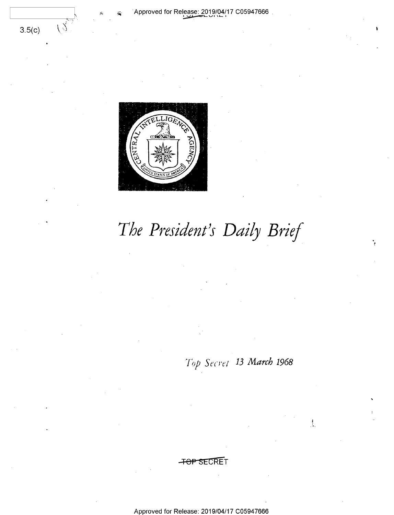

 $3.5(c)$ 

 $\langle \rangle$ 

The President's Daily Brief

Top Secret 13 March 1968

 $\frac{1}{2}$ 

Approved for Release: 2019/04/17 C05947666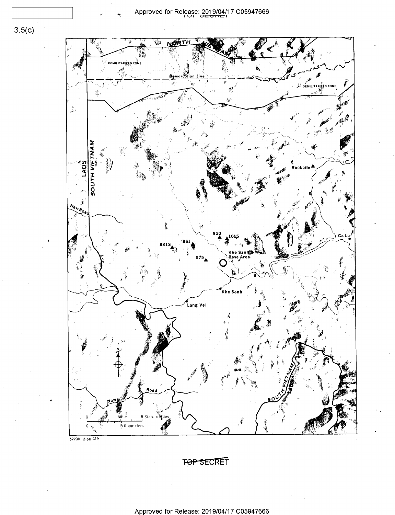$3.5(c)$ 



TOP SECRET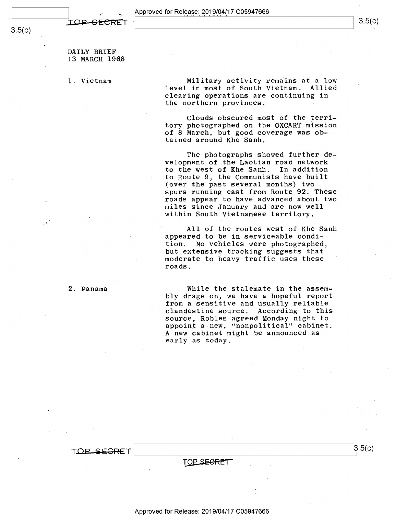DAILY BRIEF 13 MARCH 1968

1. Vietnam

2. Panama

Military activity remains at a low level in most of South Vietnam. Allied clearing operations are continuing in the northern provinces.

Clouds obscured most of the territory photographed on the OXCART mission of 8 March, but good coverage was obtained around Khe Sanh.

The photographs showed further development of the Laotian road network to the west of Khe Sanh. In addition to Route 9, the Communists have built (over the past several months) two spurs running east from Route 92. These roads appear to have advanced about two miles since January and are now well within South Vietnamese territory.

All of the routes west of Khe Sanh appeared to be in serviceable condition. No vehicles were photographed, but extensive tracking suggests that moderate to heavy traffic uses these roads.

While the stalemate in the assembly drags on, we have a hopeful report from a sensitive and usually reliable clandestine source. According to this source, Robles agreed Monday night to appoint a new, "nonpolitical" cabinet. A new cabinet might be announced as early as today.

TOP SEGRET

TOP SEGRET

 $3.5(c)$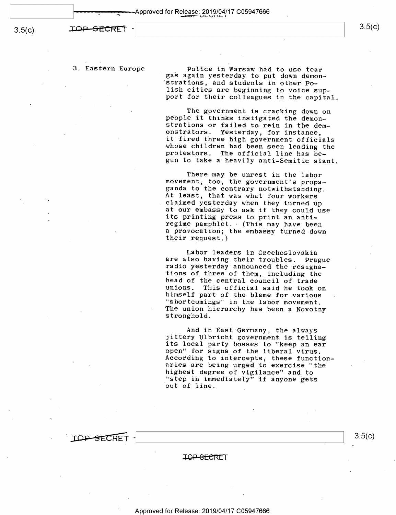**IOP-SECRET** 

3.5(c)

3. Eastern Europe . Police in Warsaw had to use tear .<br>gas again yesterday to put down demon-<br>strations, and students in other Polish cities are beginning to voice sup-<br>port for their colleagues in the capital.

> The government is cracking down on<br>people it thinks instigated the demon-<br>strations or failed to rein in the dem-<br>onstrators. Yesterday, for instance,<br>it fired three high government officials whose children had been seen leading the<br>protestors. The official line has be-<br>gun to take a heavily anti-Semitic slant.

There may be unrest in the labor<br>movement, too, the government's propa-<br>ganda to the contrary notwithstanding.<br>At least, that was what four workers<br>claimed yesterday when they turned up<br>at our embassy to ask if they could a provocation; the embassy turned down<br>their request.)

Labor leaders in Czechoslovakia<br>are also having their troubles. Prague<br>radio yesterday announced the resigna-<br>tions of three of them, including the head of the central council of trade<br>unions. This official said he took on<br>himself part of the blame for various<br>"shortcomings" in the labor movement. The union hierarchy has been a Novotny stronghold.

And in East Germany, the always<br>jittery Ulbricht government is telling<br>its local party bosses to "keep an ear<br>open" for signs of the liberal virus.<br>According to intercepts, these function-<br>aries are being urged to exercise "step in immediately" if anyone gets<br>out of line.



J£MLSE€RET